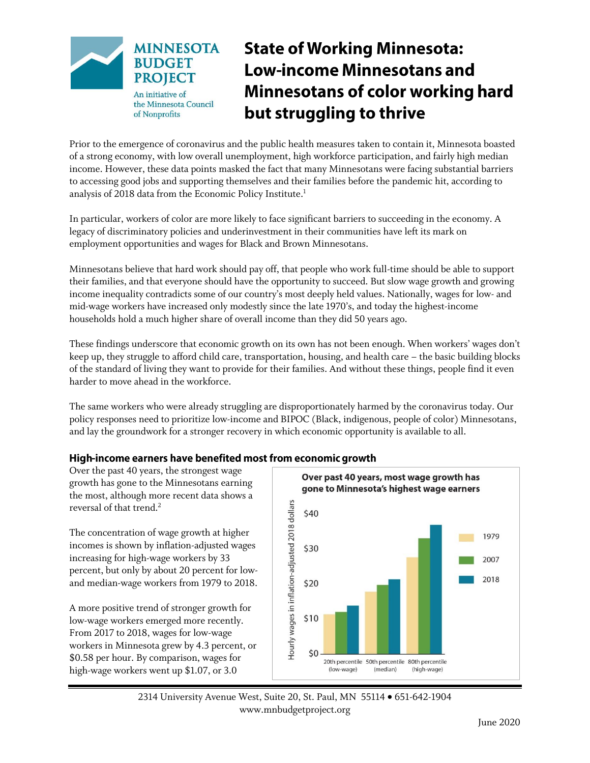

# **State of Working Minnesota: Low-income Minnesotans and Minnesotans of color working hard** but struggling to thrive

Prior to the emergence of coronavirus and the public health measures taken to contain it, Minnesota boasted of a strong economy, with low overall unemployment, high workforce participation, and fairly high median income. However, these data points masked the fact that many Minnesotans were facing substantial barriers to accessing good jobs and supporting themselves and their families before the pandemic hit, according to analysis of 2018 data from the Economic Policy Institute. 1

In particular, workers of color are more likely to face significant barriers to succeeding in the economy. A legacy of discriminatory policies and underinvestment in their communities have left its mark on employment opportunities and wages for Black and Brown Minnesotans.

Minnesotans believe that hard work should pay off, that people who work full-time should be able to support their families, and that everyone should have the opportunity to succeed. But slow wage growth and growing income inequality contradicts some of our country's most deeply held values. Nationally, wages for low- and mid-wage workers have increased only modestly since the late 1970's, and today the highest-income households hold a much higher share of overall income than they did 50 years ago.

These findings underscore that economic growth on its own has not been enough. When workers' wages don't keep up, they struggle to afford child care, transportation, housing, and health care – the basic building blocks of the standard of living they want to provide for their families. And without these things, people find it even harder to move ahead in the workforce.

The same workers who were already struggling are disproportionately harmed by the coronavirus today. Our policy responses need to prioritize low-income and BIPOC (Black, indigenous, people of color) Minnesotans, and lay the groundwork for a stronger recovery in which economic opportunity is available to all.

# High-income earners have benefited most from economic growth

Over the past 40 years, the strongest wage growth has gone to the Minnesotans earning the most, although more recent data shows a reversal of that trend. 2

The concentration of wage growth at higher incomes is shown by inflation-adjusted wages increasing for high-wage workers by 33 percent, but only by about 20 percent for lowand median-wage workers from 1979 to 2018.

A more positive trend of stronger growth for low-wage workers emerged more recently. From 2017 to 2018, wages for low-wage workers in Minnesota grew by 4.3 percent, or \$0.58 per hour. By comparison, wages for high-wage workers went up \$1.07, or 3.0



2314 University Avenue West, Suite 20, St. Paul, MN 55114 651-642-1904 www.mnbudgetproject.org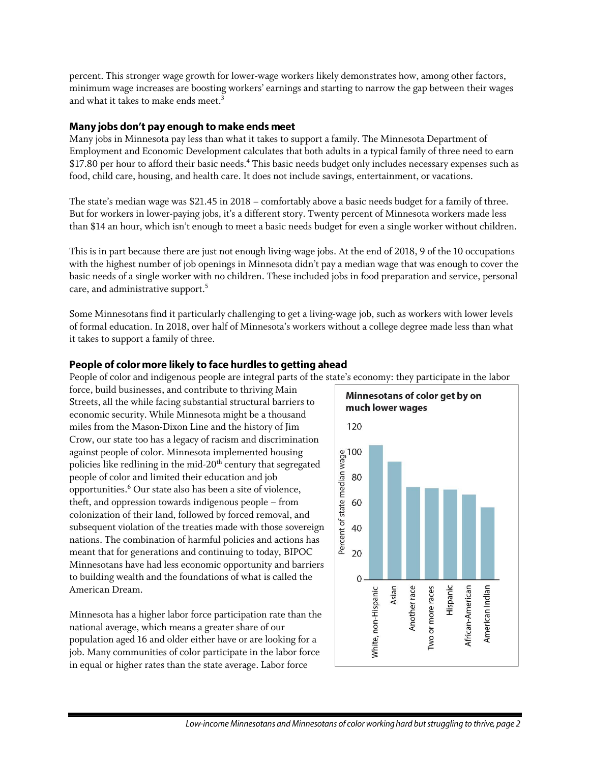percent. This stronger wage growth for lower-wage workers likely demonstrates how, among other factors, minimum wage increases are boosting workers' earnings and starting to narrow the gap between their wages and what it takes to make ends meet.<sup>3</sup>

### Many jobs don't pay enough to make ends meet

Many jobs in Minnesota pay less than what it takes to support a family. The Minnesota Department of Employment and Economic Development calculates that both adults in a typical family of three need to earn \$17.80 per hour to afford their basic needs.<sup>4</sup> This basic needs budget only includes necessary expenses such as food, child care, housing, and health care. It does not include savings, entertainment, or vacations.

The state's median wage was \$21.45 in 2018 – comfortably above a basic needs budget for a family of three. But for workers in lower-paying jobs, it's a different story. Twenty percent of Minnesota workers made less than \$14 an hour, which isn't enough to meet a basic needs budget for even a single worker without children.

This is in part because there are just not enough living-wage jobs. At the end of 2018, 9 of the 10 occupations with the highest number of job openings in Minnesota didn't pay a median wage that was enough to cover the basic needs of a single worker with no children. These included jobs in food preparation and service, personal care, and administrative support. 5

Some Minnesotans find it particularly challenging to get a living-wage job, such as workers with lower levels of formal education. In 2018, over half of Minnesota's workers without a college degree made less than what it takes to support a family of three.

# People of color more likely to face hurdles to getting ahead

People of color and indigenous people are integral parts of the state's economy: they participate in the labor

force, build businesses, and contribute to thriving Main Streets, all the while facing substantial structural barriers to economic security. While Minnesota might be a thousand miles from the Mason-Dixon Line and the history of Jim Crow, our state too has a legacy of racism and discrimination against people of color. Minnesota implemented housing policies like redlining in the mid-20<sup>th</sup> century that segregated people of color and limited their education and job opportunities.<sup>6</sup> Our state also has been a site of violence, theft, and oppression towards indigenous people – from colonization of their land, followed by forced removal, and subsequent violation of the treaties made with those sovereign nations. The combination of harmful policies and actions has meant that for generations and continuing to today, BIPOC Minnesotans have had less economic opportunity and barriers to building wealth and the foundations of what is called the American Dream.

Minnesota has a higher labor force participation rate than the national average, which means a greater share of our population aged 16 and older either have or are looking for a job. Many communities of color participate in the labor force in equal or higher rates than the state average. Labor force

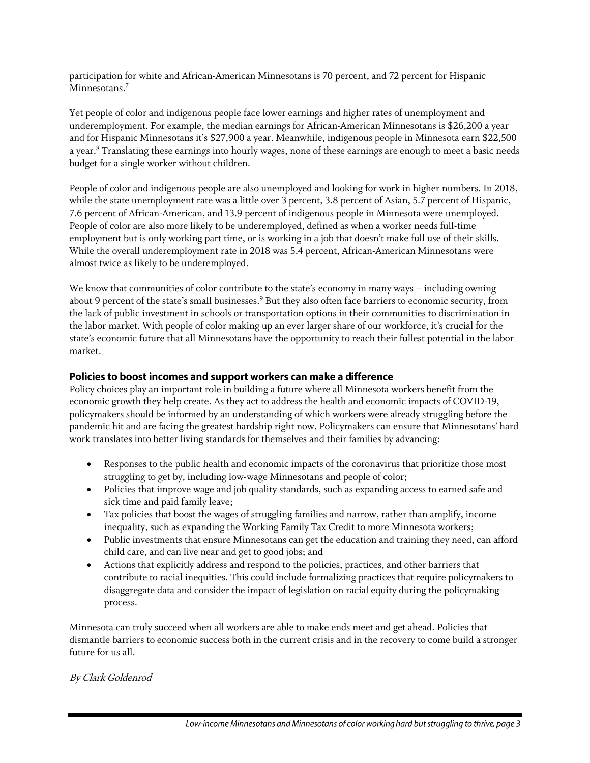participation for white and African-American Minnesotans is 70 percent, and 72 percent for Hispanic Minnesotans.<sup>7</sup>

Yet people of color and indigenous people face lower earnings and higher rates of unemployment and underemployment. For example, the median earnings for African-American Minnesotans is \$26,200 a year and for Hispanic Minnesotans it's \$27,900 a year. Meanwhile, indigenous people in Minnesota earn \$22,500 a year. <sup>8</sup> Translating these earnings into hourly wages, none of these earnings are enough to meet a basic needs budget for a single worker without children.

People of color and indigenous people are also unemployed and looking for work in higher numbers. In 2018, while the state unemployment rate was a little over 3 percent, 3.8 percent of Asian, 5.7 percent of Hispanic, 7.6 percent of African-American, and 13.9 percent of indigenous people in Minnesota were unemployed. People of color are also more likely to be underemployed, defined as when a worker needs full-time employment but is only working part time, or is working in a job that doesn't make full use of their skills. While the overall underemployment rate in 2018 was 5.4 percent, African-American Minnesotans were almost twice as likely to be underemployed.

We know that communities of color contribute to the state's economy in many ways – including owning about 9 percent of the state's small businesses.<sup>9</sup> But they also often face barriers to economic security, from the lack of public investment in schools or transportation options in their communities to discrimination in the labor market. With people of color making up an ever larger share of our workforce, it's crucial for the state's economic future that all Minnesotans have the opportunity to reach their fullest potential in the labor market.

# Policies to boost incomes and support workers can make a difference

Policy choices play an important role in building a future where all Minnesota workers benefit from the economic growth they help create. As they act to address the health and economic impacts of COVID-19, policymakers should be informed by an understanding of which workers were already struggling before the pandemic hit and are facing the greatest hardship right now. Policymakers can ensure that Minnesotans' hard work translates into better living standards for themselves and their families by advancing:

- Responses to the public health and economic impacts of the coronavirus that prioritize those most struggling to get by, including low-wage Minnesotans and people of color;
- Policies that improve wage and job quality standards, such as expanding access to earned safe and sick time and paid family leave;
- Tax policies that boost the wages of struggling families and narrow, rather than amplify, income inequality, such as expanding the Working Family Tax Credit to more Minnesota workers;
- Public investments that ensure Minnesotans can get the education and training they need, can afford child care, and can live near and get to good jobs; and
- Actions that explicitly address and respond to the policies, practices, and other barriers that contribute to racial inequities. This could include formalizing practices that require policymakers to disaggregate data and consider the impact of legislation on racial equity during the policymaking process.

Minnesota can truly succeed when all workers are able to make ends meet and get ahead. Policies that dismantle barriers to economic success both in the current crisis and in the recovery to come build a stronger future for us all.

#### By Clark Goldenrod